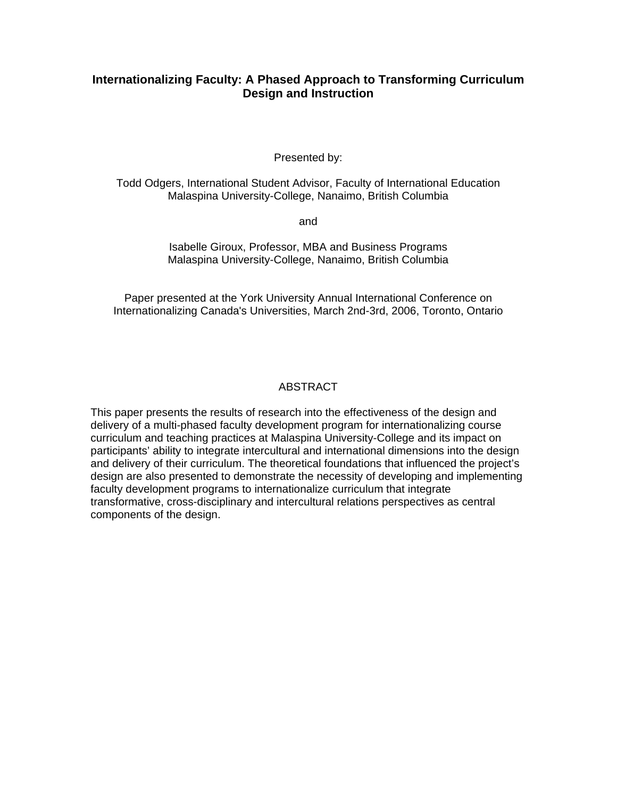# **Internationalizing Faculty: A Phased Approach to Transforming Curriculum Design and Instruction**

Presented by:

Todd Odgers, International Student Advisor, Faculty of International Education Malaspina University-College, Nanaimo, British Columbia

and

Isabelle Giroux, Professor, MBA and Business Programs Malaspina University-College, Nanaimo, British Columbia

Paper presented at the York University Annual International Conference on Internationalizing Canada's Universities, March 2nd-3rd, 2006, Toronto, Ontario

## **ABSTRACT**

This paper presents the results of research into the effectiveness of the design and delivery of a multi-phased faculty development program for internationalizing course curriculum and teaching practices at Malaspina University-College and its impact on participants' ability to integrate intercultural and international dimensions into the design and delivery of their curriculum. The theoretical foundations that influenced the project's design are also presented to demonstrate the necessity of developing and implementing faculty development programs to internationalize curriculum that integrate transformative, cross-disciplinary and intercultural relations perspectives as central components of the design.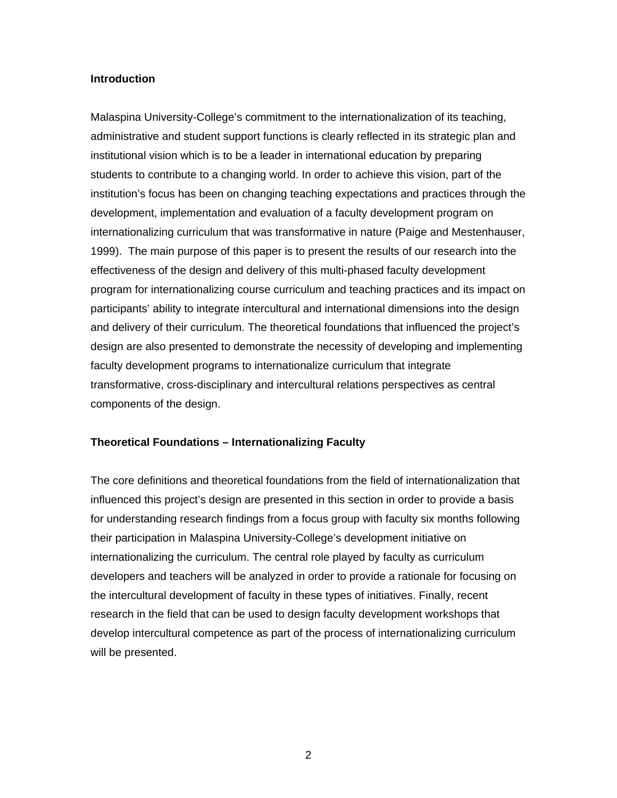#### **Introduction**

Malaspina University-College's commitment to the internationalization of its teaching, administrative and student support functions is clearly reflected in its strategic plan and institutional vision which is to be a leader in international education by preparing students to contribute to a changing world. In order to achieve this vision, part of the institution's focus has been on changing teaching expectations and practices through the development, implementation and evaluation of a faculty development program on internationalizing curriculum that was transformative in nature (Paige and Mestenhauser, 1999). The main purpose of this paper is to present the results of our research into the effectiveness of the design and delivery of this multi-phased faculty development program for internationalizing course curriculum and teaching practices and its impact on participants' ability to integrate intercultural and international dimensions into the design and delivery of their curriculum. The theoretical foundations that influenced the project's design are also presented to demonstrate the necessity of developing and implementing faculty development programs to internationalize curriculum that integrate transformative, cross-disciplinary and intercultural relations perspectives as central components of the design.

### **Theoretical Foundations – Internationalizing Faculty**

The core definitions and theoretical foundations from the field of internationalization that influenced this project's design are presented in this section in order to provide a basis for understanding research findings from a focus group with faculty six months following their participation in Malaspina University-College's development initiative on internationalizing the curriculum. The central role played by faculty as curriculum developers and teachers will be analyzed in order to provide a rationale for focusing on the intercultural development of faculty in these types of initiatives. Finally, recent research in the field that can be used to design faculty development workshops that develop intercultural competence as part of the process of internationalizing curriculum will be presented.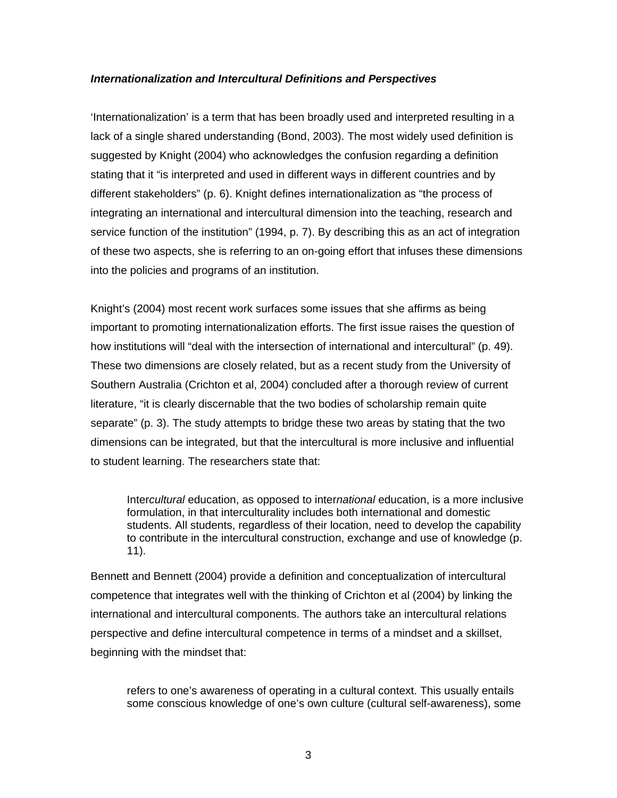### *Internationalization and Intercultural Definitions and Perspectives*

'Internationalization' is a term that has been broadly used and interpreted resulting in a lack of a single shared understanding (Bond, 2003). The most widely used definition is suggested by Knight (2004) who acknowledges the confusion regarding a definition stating that it "is interpreted and used in different ways in different countries and by different stakeholders" (p. 6). Knight defines internationalization as "the process of integrating an international and intercultural dimension into the teaching, research and service function of the institution" (1994, p. 7). By describing this as an act of integration of these two aspects, she is referring to an on-going effort that infuses these dimensions into the policies and programs of an institution.

Knight's (2004) most recent work surfaces some issues that she affirms as being important to promoting internationalization efforts. The first issue raises the question of how institutions will "deal with the intersection of international and intercultural" (p. 49). These two dimensions are closely related, but as a recent study from the University of Southern Australia (Crichton et al, 2004) concluded after a thorough review of current literature, "it is clearly discernable that the two bodies of scholarship remain quite separate" (p. 3). The study attempts to bridge these two areas by stating that the two dimensions can be integrated, but that the intercultural is more inclusive and influential to student learning. The researchers state that:

Inter*cultural* education, as opposed to inter*national* education, is a more inclusive formulation, in that interculturality includes both international and domestic students. All students, regardless of their location, need to develop the capability to contribute in the intercultural construction, exchange and use of knowledge (p. 11).

Bennett and Bennett (2004) provide a definition and conceptualization of intercultural competence that integrates well with the thinking of Crichton et al (2004) by linking the international and intercultural components. The authors take an intercultural relations perspective and define intercultural competence in terms of a mindset and a skillset, beginning with the mindset that:

refers to one's awareness of operating in a cultural context. This usually entails some conscious knowledge of one's own culture (cultural self-awareness), some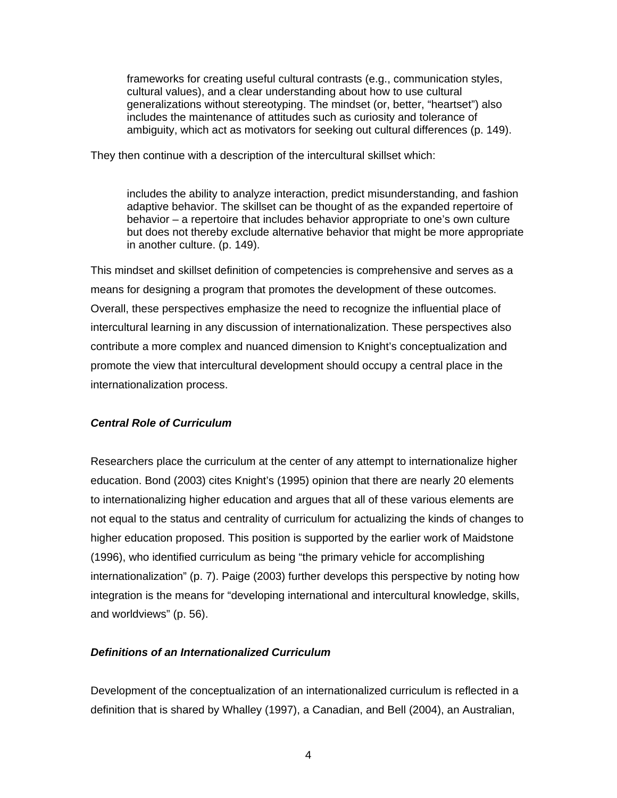frameworks for creating useful cultural contrasts (e.g., communication styles, cultural values), and a clear understanding about how to use cultural generalizations without stereotyping. The mindset (or, better, "heartset") also includes the maintenance of attitudes such as curiosity and tolerance of ambiguity, which act as motivators for seeking out cultural differences (p. 149).

They then continue with a description of the intercultural skillset which:

includes the ability to analyze interaction, predict misunderstanding, and fashion adaptive behavior. The skillset can be thought of as the expanded repertoire of behavior – a repertoire that includes behavior appropriate to one's own culture but does not thereby exclude alternative behavior that might be more appropriate in another culture. (p. 149).

This mindset and skillset definition of competencies is comprehensive and serves as a means for designing a program that promotes the development of these outcomes. Overall, these perspectives emphasize the need to recognize the influential place of intercultural learning in any discussion of internationalization. These perspectives also contribute a more complex and nuanced dimension to Knight's conceptualization and promote the view that intercultural development should occupy a central place in the internationalization process.

### *Central Role of Curriculum*

Researchers place the curriculum at the center of any attempt to internationalize higher education. Bond (2003) cites Knight's (1995) opinion that there are nearly 20 elements to internationalizing higher education and argues that all of these various elements are not equal to the status and centrality of curriculum for actualizing the kinds of changes to higher education proposed. This position is supported by the earlier work of Maidstone (1996), who identified curriculum as being "the primary vehicle for accomplishing internationalization" (p. 7). Paige (2003) further develops this perspective by noting how integration is the means for "developing international and intercultural knowledge, skills, and worldviews" (p. 56).

#### *Definitions of an Internationalized Curriculum*

Development of the conceptualization of an internationalized curriculum is reflected in a definition that is shared by Whalley (1997), a Canadian, and Bell (2004), an Australian,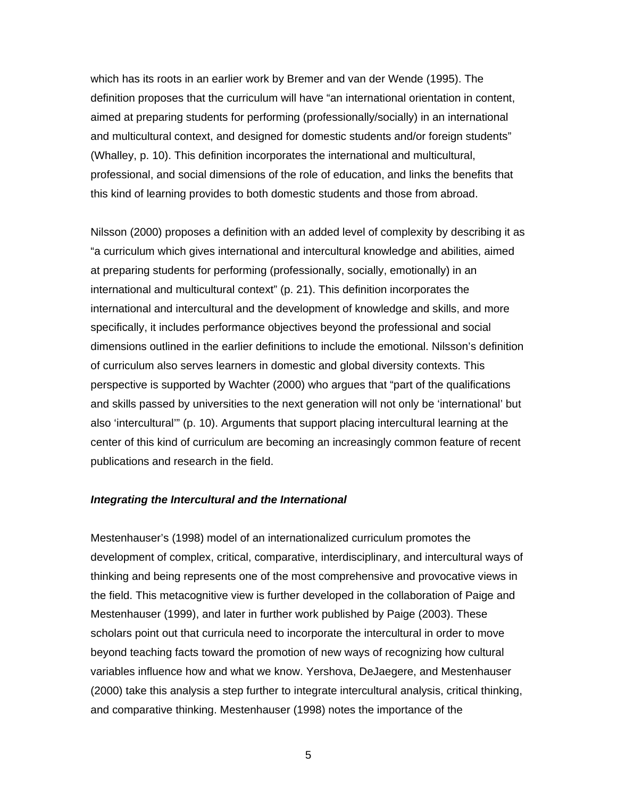which has its roots in an earlier work by Bremer and van der Wende (1995). The definition proposes that the curriculum will have "an international orientation in content, aimed at preparing students for performing (professionally/socially) in an international and multicultural context, and designed for domestic students and/or foreign students" (Whalley, p. 10). This definition incorporates the international and multicultural, professional, and social dimensions of the role of education, and links the benefits that this kind of learning provides to both domestic students and those from abroad.

Nilsson (2000) proposes a definition with an added level of complexity by describing it as "a curriculum which gives international and intercultural knowledge and abilities, aimed at preparing students for performing (professionally, socially, emotionally) in an international and multicultural context" (p. 21). This definition incorporates the international and intercultural and the development of knowledge and skills, and more specifically, it includes performance objectives beyond the professional and social dimensions outlined in the earlier definitions to include the emotional. Nilsson's definition of curriculum also serves learners in domestic and global diversity contexts. This perspective is supported by Wachter (2000) who argues that "part of the qualifications and skills passed by universities to the next generation will not only be 'international' but also 'intercultural'" (p. 10). Arguments that support placing intercultural learning at the center of this kind of curriculum are becoming an increasingly common feature of recent publications and research in the field.

#### *Integrating the Intercultural and the International*

Mestenhauser's (1998) model of an internationalized curriculum promotes the development of complex, critical, comparative, interdisciplinary, and intercultural ways of thinking and being represents one of the most comprehensive and provocative views in the field. This metacognitive view is further developed in the collaboration of Paige and Mestenhauser (1999), and later in further work published by Paige (2003). These scholars point out that curricula need to incorporate the intercultural in order to move beyond teaching facts toward the promotion of new ways of recognizing how cultural variables influence how and what we know. Yershova, DeJaegere, and Mestenhauser (2000) take this analysis a step further to integrate intercultural analysis, critical thinking, and comparative thinking. Mestenhauser (1998) notes the importance of the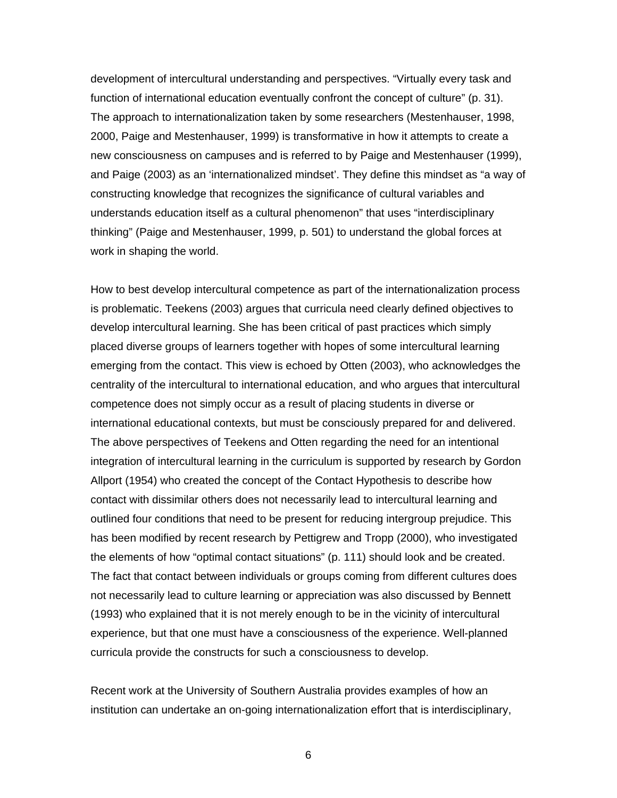development of intercultural understanding and perspectives. "Virtually every task and function of international education eventually confront the concept of culture" (p. 31). The approach to internationalization taken by some researchers (Mestenhauser, 1998, 2000, Paige and Mestenhauser, 1999) is transformative in how it attempts to create a new consciousness on campuses and is referred to by Paige and Mestenhauser (1999), and Paige (2003) as an 'internationalized mindset'. They define this mindset as "a way of constructing knowledge that recognizes the significance of cultural variables and understands education itself as a cultural phenomenon" that uses "interdisciplinary thinking" (Paige and Mestenhauser, 1999, p. 501) to understand the global forces at work in shaping the world.

How to best develop intercultural competence as part of the internationalization process is problematic. Teekens (2003) argues that curricula need clearly defined objectives to develop intercultural learning. She has been critical of past practices which simply placed diverse groups of learners together with hopes of some intercultural learning emerging from the contact. This view is echoed by Otten (2003), who acknowledges the centrality of the intercultural to international education, and who argues that intercultural competence does not simply occur as a result of placing students in diverse or international educational contexts, but must be consciously prepared for and delivered. The above perspectives of Teekens and Otten regarding the need for an intentional integration of intercultural learning in the curriculum is supported by research by Gordon Allport (1954) who created the concept of the Contact Hypothesis to describe how contact with dissimilar others does not necessarily lead to intercultural learning and outlined four conditions that need to be present for reducing intergroup prejudice. This has been modified by recent research by Pettigrew and Tropp (2000), who investigated the elements of how "optimal contact situations" (p. 111) should look and be created. The fact that contact between individuals or groups coming from different cultures does not necessarily lead to culture learning or appreciation was also discussed by Bennett (1993) who explained that it is not merely enough to be in the vicinity of intercultural experience, but that one must have a consciousness of the experience. Well-planned curricula provide the constructs for such a consciousness to develop.

Recent work at the University of Southern Australia provides examples of how an institution can undertake an on-going internationalization effort that is interdisciplinary,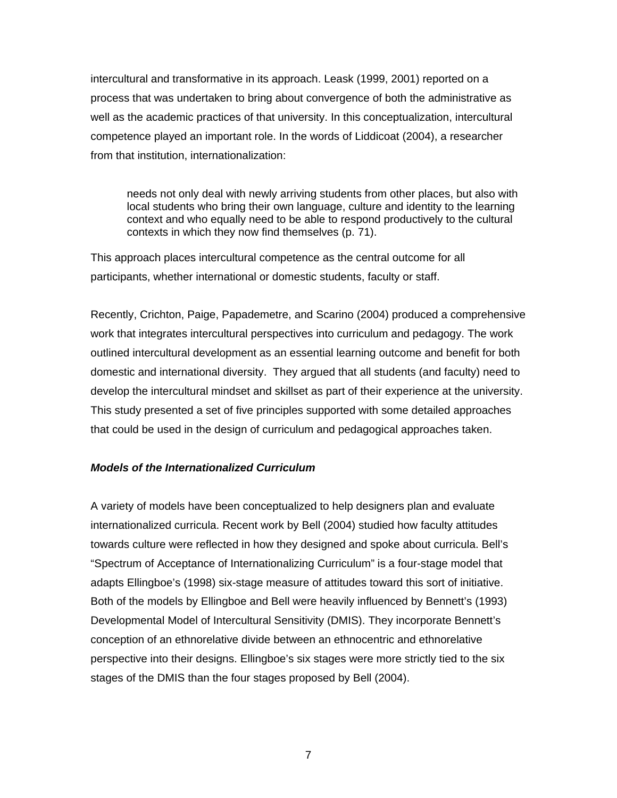intercultural and transformative in its approach. Leask (1999, 2001) reported on a process that was undertaken to bring about convergence of both the administrative as well as the academic practices of that university. In this conceptualization, intercultural competence played an important role. In the words of Liddicoat (2004), a researcher from that institution, internationalization:

needs not only deal with newly arriving students from other places, but also with local students who bring their own language, culture and identity to the learning context and who equally need to be able to respond productively to the cultural contexts in which they now find themselves (p. 71).

This approach places intercultural competence as the central outcome for all participants, whether international or domestic students, faculty or staff.

Recently, Crichton, Paige, Papademetre, and Scarino (2004) produced a comprehensive work that integrates intercultural perspectives into curriculum and pedagogy. The work outlined intercultural development as an essential learning outcome and benefit for both domestic and international diversity. They argued that all students (and faculty) need to develop the intercultural mindset and skillset as part of their experience at the university. This study presented a set of five principles supported with some detailed approaches that could be used in the design of curriculum and pedagogical approaches taken.

### *Models of the Internationalized Curriculum*

A variety of models have been conceptualized to help designers plan and evaluate internationalized curricula. Recent work by Bell (2004) studied how faculty attitudes towards culture were reflected in how they designed and spoke about curricula. Bell's "Spectrum of Acceptance of Internationalizing Curriculum" is a four-stage model that adapts Ellingboe's (1998) six-stage measure of attitudes toward this sort of initiative. Both of the models by Ellingboe and Bell were heavily influenced by Bennett's (1993) Developmental Model of Intercultural Sensitivity (DMIS). They incorporate Bennett's conception of an ethnorelative divide between an ethnocentric and ethnorelative perspective into their designs. Ellingboe's six stages were more strictly tied to the six stages of the DMIS than the four stages proposed by Bell (2004).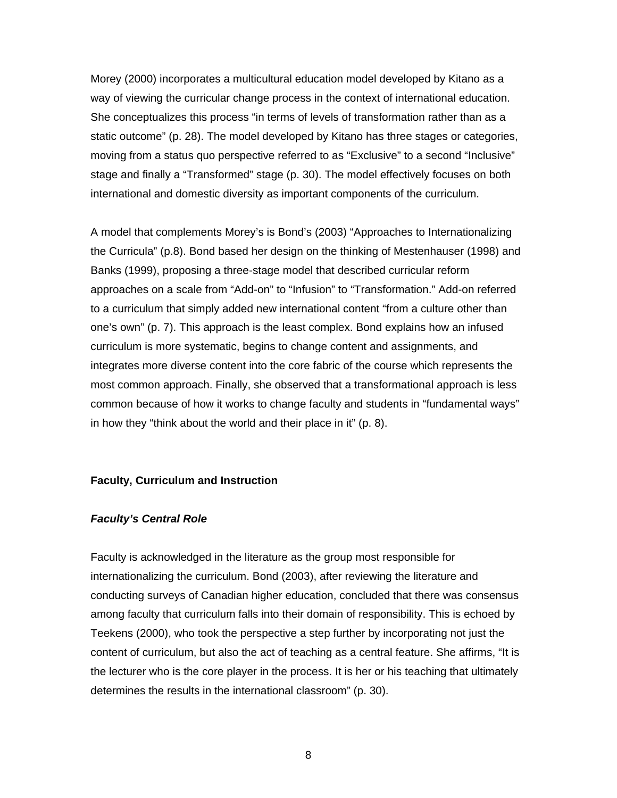Morey (2000) incorporates a multicultural education model developed by Kitano as a way of viewing the curricular change process in the context of international education. She conceptualizes this process "in terms of levels of transformation rather than as a static outcome" (p. 28). The model developed by Kitano has three stages or categories, moving from a status quo perspective referred to as "Exclusive" to a second "Inclusive" stage and finally a "Transformed" stage (p. 30). The model effectively focuses on both international and domestic diversity as important components of the curriculum.

A model that complements Morey's is Bond's (2003) "Approaches to Internationalizing the Curricula" (p.8). Bond based her design on the thinking of Mestenhauser (1998) and Banks (1999), proposing a three-stage model that described curricular reform approaches on a scale from "Add-on" to "Infusion" to "Transformation." Add-on referred to a curriculum that simply added new international content "from a culture other than one's own" (p. 7). This approach is the least complex. Bond explains how an infused curriculum is more systematic, begins to change content and assignments, and integrates more diverse content into the core fabric of the course which represents the most common approach. Finally, she observed that a transformational approach is less common because of how it works to change faculty and students in "fundamental ways" in how they "think about the world and their place in it" (p. 8).

#### **Faculty, Curriculum and Instruction**

#### *Faculty's Central Role*

Faculty is acknowledged in the literature as the group most responsible for internationalizing the curriculum. Bond (2003), after reviewing the literature and conducting surveys of Canadian higher education, concluded that there was consensus among faculty that curriculum falls into their domain of responsibility. This is echoed by Teekens (2000), who took the perspective a step further by incorporating not just the content of curriculum, but also the act of teaching as a central feature. She affirms, "It is the lecturer who is the core player in the process. It is her or his teaching that ultimately determines the results in the international classroom" (p. 30).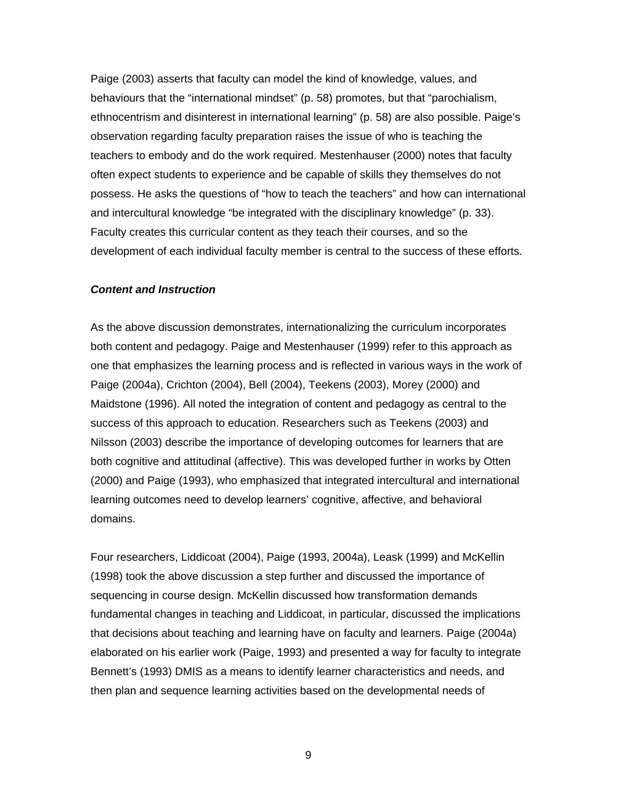Paige (2003) asserts that faculty can model the kind of knowledge, values, and behaviours that the "international mindset" (p. 58) promotes, but that "parochialism, ethnocentrism and disinterest in international learning" (p. 58) are also possible. Paige's observation regarding faculty preparation raises the issue of who is teaching the teachers to embody and do the work required. Mestenhauser (2000) notes that faculty often expect students to experience and be capable of skills they themselves do not possess. He asks the questions of "how to teach the teachers" and how can international and intercultural knowledge "be integrated with the disciplinary knowledge" (p. 33). Faculty creates this curricular content as they teach their courses, and so the development of each individual faculty member is central to the success of these efforts.

#### *Content and Instruction*

As the above discussion demonstrates, internationalizing the curriculum incorporates both content and pedagogy. Paige and Mestenhauser (1999) refer to this approach as one that emphasizes the learning process and is reflected in various ways in the work of Paige (2004a), Crichton (2004), Bell (2004), Teekens (2003), Morey (2000) and Maidstone (1996). All noted the integration of content and pedagogy as central to the success of this approach to education. Researchers such as Teekens (2003) and Nilsson (2003) describe the importance of developing outcomes for learners that are both cognitive and attitudinal (affective). This was developed further in works by Otten (2000) and Paige (1993), who emphasized that integrated intercultural and international learning outcomes need to develop learners' cognitive, affective, and behavioral domains.

Four researchers, Liddicoat (2004), Paige (1993, 2004a), Leask (1999) and McKellin (1998) took the above discussion a step further and discussed the importance of sequencing in course design. McKellin discussed how transformation demands fundamental changes in teaching and Liddicoat, in particular, discussed the implications that decisions about teaching and learning have on faculty and learners. Paige (2004a) elaborated on his earlier work (Paige, 1993) and presented a way for faculty to integrate Bennett's (1993) DMIS as a means to identify learner characteristics and needs, and then plan and sequence learning activities based on the developmental needs of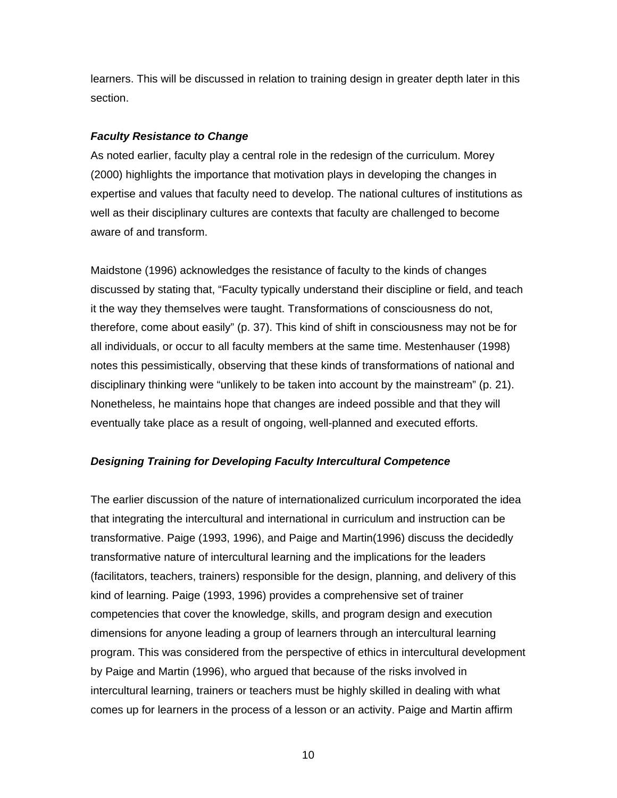learners. This will be discussed in relation to training design in greater depth later in this section.

### *Faculty Resistance to Change*

As noted earlier, faculty play a central role in the redesign of the curriculum. Morey (2000) highlights the importance that motivation plays in developing the changes in expertise and values that faculty need to develop. The national cultures of institutions as well as their disciplinary cultures are contexts that faculty are challenged to become aware of and transform.

Maidstone (1996) acknowledges the resistance of faculty to the kinds of changes discussed by stating that, "Faculty typically understand their discipline or field, and teach it the way they themselves were taught. Transformations of consciousness do not, therefore, come about easily" (p. 37). This kind of shift in consciousness may not be for all individuals, or occur to all faculty members at the same time. Mestenhauser (1998) notes this pessimistically, observing that these kinds of transformations of national and disciplinary thinking were "unlikely to be taken into account by the mainstream" (p. 21). Nonetheless, he maintains hope that changes are indeed possible and that they will eventually take place as a result of ongoing, well-planned and executed efforts.

## *Designing Training for Developing Faculty Intercultural Competence*

The earlier discussion of the nature of internationalized curriculum incorporated the idea that integrating the intercultural and international in curriculum and instruction can be transformative. Paige (1993, 1996), and Paige and Martin(1996) discuss the decidedly transformative nature of intercultural learning and the implications for the leaders (facilitators, teachers, trainers) responsible for the design, planning, and delivery of this kind of learning. Paige (1993, 1996) provides a comprehensive set of trainer competencies that cover the knowledge, skills, and program design and execution dimensions for anyone leading a group of learners through an intercultural learning program. This was considered from the perspective of ethics in intercultural development by Paige and Martin (1996), who argued that because of the risks involved in intercultural learning, trainers or teachers must be highly skilled in dealing with what comes up for learners in the process of a lesson or an activity. Paige and Martin affirm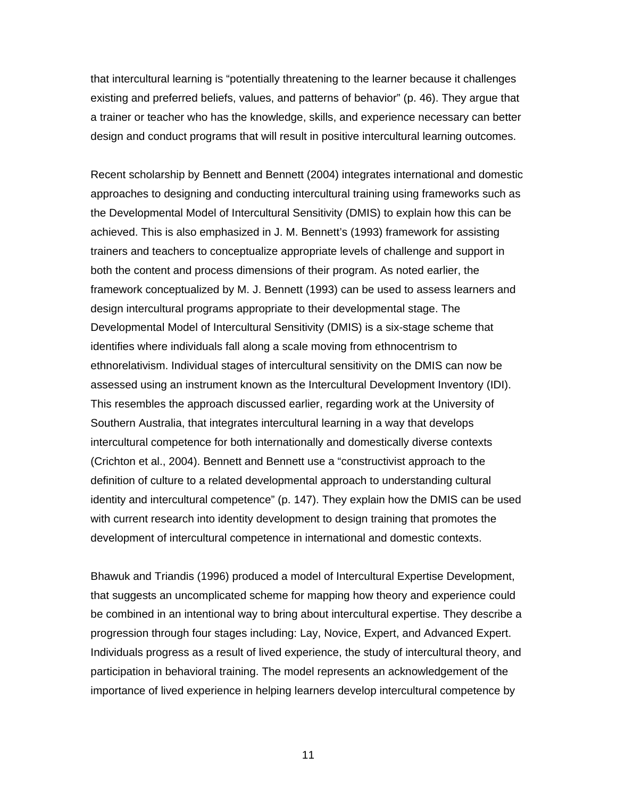that intercultural learning is "potentially threatening to the learner because it challenges existing and preferred beliefs, values, and patterns of behavior" (p. 46). They argue that a trainer or teacher who has the knowledge, skills, and experience necessary can better design and conduct programs that will result in positive intercultural learning outcomes.

Recent scholarship by Bennett and Bennett (2004) integrates international and domestic approaches to designing and conducting intercultural training using frameworks such as the Developmental Model of Intercultural Sensitivity (DMIS) to explain how this can be achieved. This is also emphasized in J. M. Bennett's (1993) framework for assisting trainers and teachers to conceptualize appropriate levels of challenge and support in both the content and process dimensions of their program. As noted earlier, the framework conceptualized by M. J. Bennett (1993) can be used to assess learners and design intercultural programs appropriate to their developmental stage. The Developmental Model of Intercultural Sensitivity (DMIS) is a six-stage scheme that identifies where individuals fall along a scale moving from ethnocentrism to ethnorelativism. Individual stages of intercultural sensitivity on the DMIS can now be assessed using an instrument known as the Intercultural Development Inventory (IDI). This resembles the approach discussed earlier, regarding work at the University of Southern Australia, that integrates intercultural learning in a way that develops intercultural competence for both internationally and domestically diverse contexts (Crichton et al., 2004). Bennett and Bennett use a "constructivist approach to the definition of culture to a related developmental approach to understanding cultural identity and intercultural competence" (p. 147). They explain how the DMIS can be used with current research into identity development to design training that promotes the development of intercultural competence in international and domestic contexts.

Bhawuk and Triandis (1996) produced a model of Intercultural Expertise Development, that suggests an uncomplicated scheme for mapping how theory and experience could be combined in an intentional way to bring about intercultural expertise. They describe a progression through four stages including: Lay, Novice, Expert, and Advanced Expert. Individuals progress as a result of lived experience, the study of intercultural theory, and participation in behavioral training. The model represents an acknowledgement of the importance of lived experience in helping learners develop intercultural competence by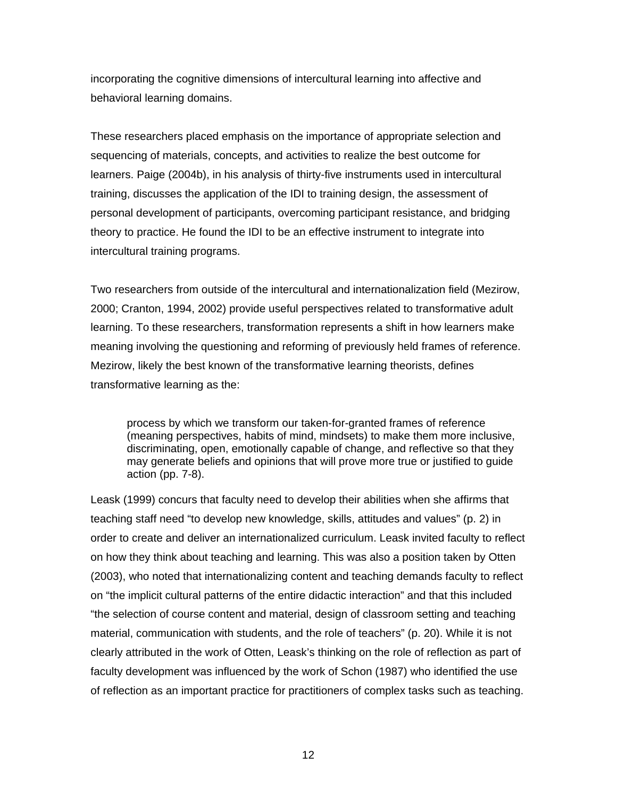incorporating the cognitive dimensions of intercultural learning into affective and behavioral learning domains.

These researchers placed emphasis on the importance of appropriate selection and sequencing of materials, concepts, and activities to realize the best outcome for learners. Paige (2004b), in his analysis of thirty-five instruments used in intercultural training, discusses the application of the IDI to training design, the assessment of personal development of participants, overcoming participant resistance, and bridging theory to practice. He found the IDI to be an effective instrument to integrate into intercultural training programs.

Two researchers from outside of the intercultural and internationalization field (Mezirow, 2000; Cranton, 1994, 2002) provide useful perspectives related to transformative adult learning. To these researchers, transformation represents a shift in how learners make meaning involving the questioning and reforming of previously held frames of reference. Mezirow, likely the best known of the transformative learning theorists, defines transformative learning as the:

process by which we transform our taken-for-granted frames of reference (meaning perspectives, habits of mind, mindsets) to make them more inclusive, discriminating, open, emotionally capable of change, and reflective so that they may generate beliefs and opinions that will prove more true or justified to guide action (pp. 7-8).

Leask (1999) concurs that faculty need to develop their abilities when she affirms that teaching staff need "to develop new knowledge, skills, attitudes and values" (p. 2) in order to create and deliver an internationalized curriculum. Leask invited faculty to reflect on how they think about teaching and learning. This was also a position taken by Otten (2003), who noted that internationalizing content and teaching demands faculty to reflect on "the implicit cultural patterns of the entire didactic interaction" and that this included "the selection of course content and material, design of classroom setting and teaching material, communication with students, and the role of teachers" (p. 20). While it is not clearly attributed in the work of Otten, Leask's thinking on the role of reflection as part of faculty development was influenced by the work of Schon (1987) who identified the use of reflection as an important practice for practitioners of complex tasks such as teaching.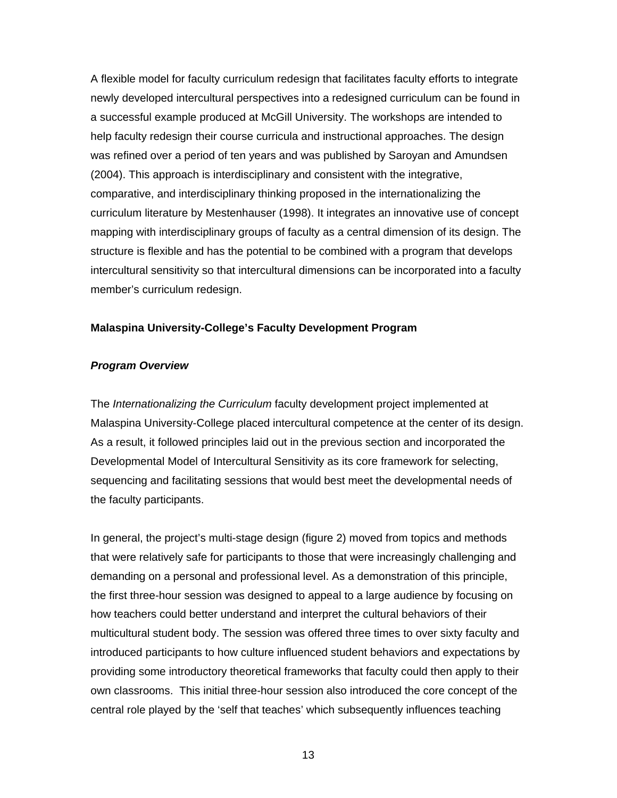A flexible model for faculty curriculum redesign that facilitates faculty efforts to integrate newly developed intercultural perspectives into a redesigned curriculum can be found in a successful example produced at McGill University. The workshops are intended to help faculty redesign their course curricula and instructional approaches. The design was refined over a period of ten years and was published by Saroyan and Amundsen (2004). This approach is interdisciplinary and consistent with the integrative, comparative, and interdisciplinary thinking proposed in the internationalizing the curriculum literature by Mestenhauser (1998). It integrates an innovative use of concept mapping with interdisciplinary groups of faculty as a central dimension of its design. The structure is flexible and has the potential to be combined with a program that develops intercultural sensitivity so that intercultural dimensions can be incorporated into a faculty member's curriculum redesign.

### **Malaspina University-College's Faculty Development Program**

### *Program Overview*

The *Internationalizing the Curriculum* faculty development project implemented at Malaspina University-College placed intercultural competence at the center of its design. As a result, it followed principles laid out in the previous section and incorporated the Developmental Model of Intercultural Sensitivity as its core framework for selecting, sequencing and facilitating sessions that would best meet the developmental needs of the faculty participants.

In general, the project's multi-stage design (figure 2) moved from topics and methods that were relatively safe for participants to those that were increasingly challenging and demanding on a personal and professional level. As a demonstration of this principle, the first three-hour session was designed to appeal to a large audience by focusing on how teachers could better understand and interpret the cultural behaviors of their multicultural student body. The session was offered three times to over sixty faculty and introduced participants to how culture influenced student behaviors and expectations by providing some introductory theoretical frameworks that faculty could then apply to their own classrooms. This initial three-hour session also introduced the core concept of the central role played by the 'self that teaches' which subsequently influences teaching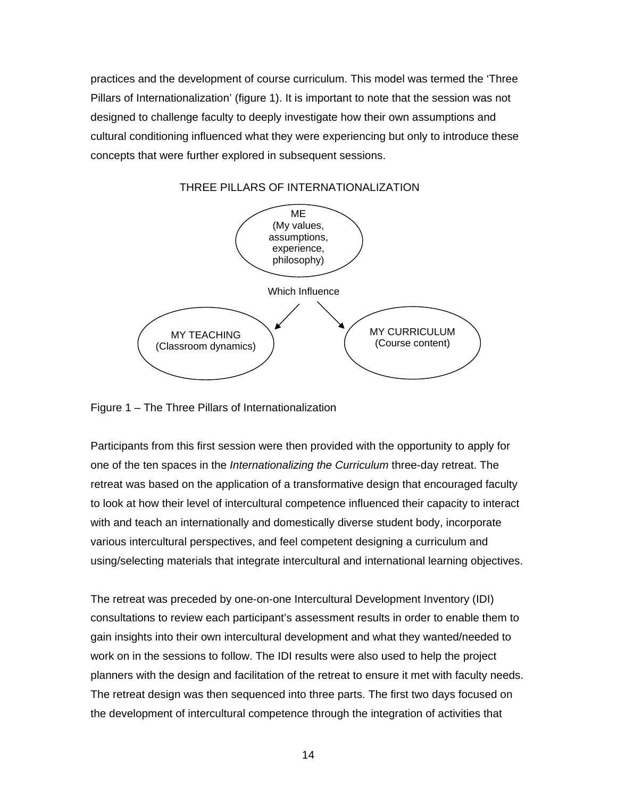practices and the development of course curriculum. This model was termed the 'Three Pillars of Internationalization' (figure 1). It is important to note that the session was not designed to challenge faculty to deeply investigate how their own assumptions and cultural conditioning influenced what they were experiencing but only to introduce these concepts that were further explored in subsequent sessions.



THREE PILLARS OF INTERNATIONALIZATION

Figure 1 – The Three Pillars of Internationalization

Participants from this first session were then provided with the opportunity to apply for one of the ten spaces in the *Internationalizing the Curriculum* three-day retreat. The retreat was based on the application of a transformative design that encouraged faculty to look at how their level of intercultural competence influenced their capacity to interact with and teach an internationally and domestically diverse student body, incorporate various intercultural perspectives, and feel competent designing a curriculum and using/selecting materials that integrate intercultural and international learning objectives.

The retreat was preceded by one-on-one Intercultural Development Inventory (IDI) consultations to review each participant's assessment results in order to enable them to gain insights into their own intercultural development and what they wanted/needed to work on in the sessions to follow. The IDI results were also used to help the project planners with the design and facilitation of the retreat to ensure it met with faculty needs. The retreat design was then sequenced into three parts. The first two days focused on the development of intercultural competence through the integration of activities that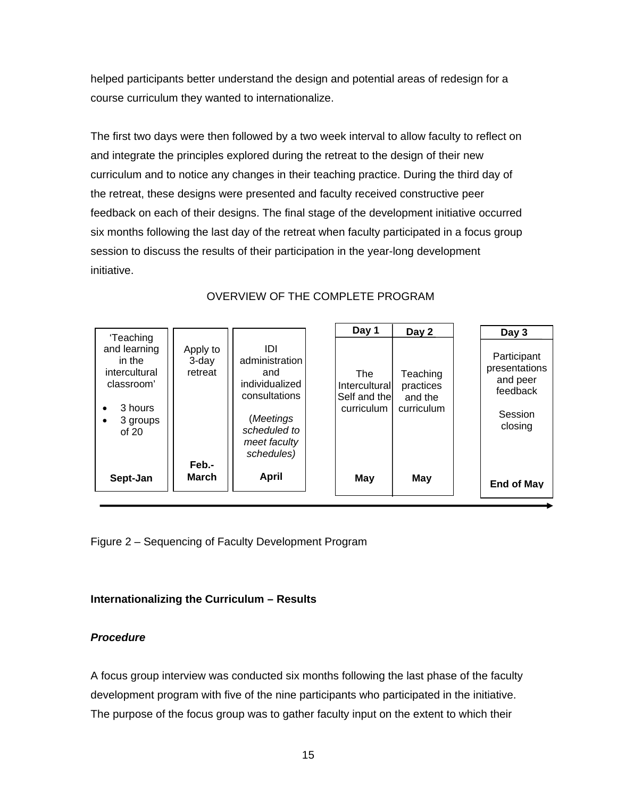helped participants better understand the design and potential areas of redesign for a course curriculum they wanted to internationalize.

The first two days were then followed by a two week interval to allow faculty to reflect on and integrate the principles explored during the retreat to the design of their new curriculum and to notice any changes in their teaching practice. During the third day of the retreat, these designs were presented and faculty received constructive peer feedback on each of their designs. The final stage of the development initiative occurred six months following the last day of the retreat when faculty participated in a focus group session to discuss the results of their participation in the year-long development initiative.

|                                 |                                                                                                                            | Day 1                    | Day 2                                          | Day 3                                                                      |
|---------------------------------|----------------------------------------------------------------------------------------------------------------------------|--------------------------|------------------------------------------------|----------------------------------------------------------------------------|
| Apply to<br>$3$ -day<br>retreat | וחו<br>administration<br>and<br>individualized<br>consultations<br>(Meetings<br>scheduled to<br>meet faculty<br>schedules) | <b>The</b><br>curriculum | Teaching<br>practices<br>and the<br>curriculum | Participant<br>presentations<br>and peer<br>feedback<br>Session<br>closing |
| <b>March</b>                    | April                                                                                                                      | May                      | May                                            | <b>End of May</b>                                                          |
|                                 | Feb.-                                                                                                                      |                          |                                                | Interculturall<br>Self and the                                             |

# OVERVIEW OF THE COMPLETE PROGRAM

Figure 2 – Sequencing of Faculty Development Program

# **Internationalizing the Curriculum – Results**

# *Procedure*

A focus group interview was conducted six months following the last phase of the faculty development program with five of the nine participants who participated in the initiative. The purpose of the focus group was to gather faculty input on the extent to which their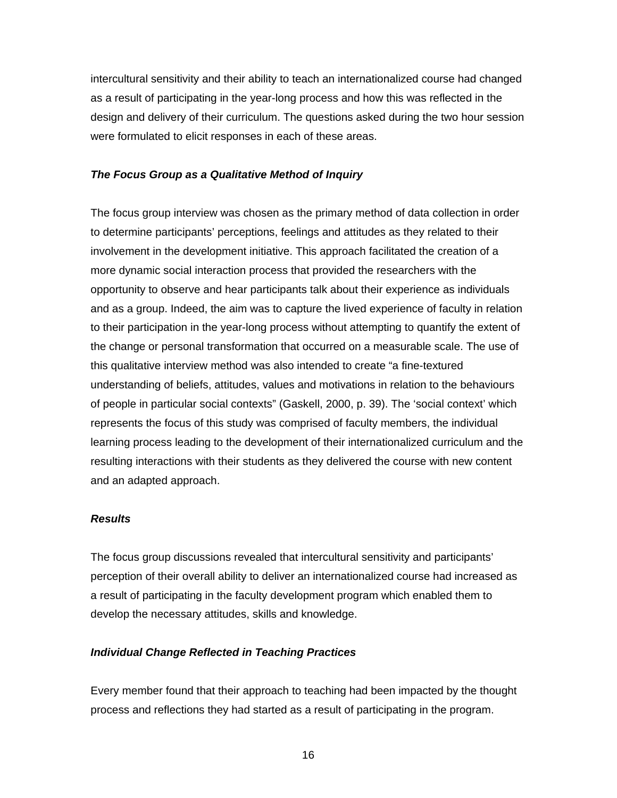intercultural sensitivity and their ability to teach an internationalized course had changed as a result of participating in the year-long process and how this was reflected in the design and delivery of their curriculum. The questions asked during the two hour session were formulated to elicit responses in each of these areas.

### *The Focus Group as a Qualitative Method of Inquiry*

The focus group interview was chosen as the primary method of data collection in order to determine participants' perceptions, feelings and attitudes as they related to their involvement in the development initiative. This approach facilitated the creation of a more dynamic social interaction process that provided the researchers with the opportunity to observe and hear participants talk about their experience as individuals and as a group. Indeed, the aim was to capture the lived experience of faculty in relation to their participation in the year-long process without attempting to quantify the extent of the change or personal transformation that occurred on a measurable scale. The use of this qualitative interview method was also intended to create "a fine-textured understanding of beliefs, attitudes, values and motivations in relation to the behaviours of people in particular social contexts" (Gaskell, 2000, p. 39). The 'social context' which represents the focus of this study was comprised of faculty members, the individual learning process leading to the development of their internationalized curriculum and the resulting interactions with their students as they delivered the course with new content and an adapted approach.

### *Results*

The focus group discussions revealed that intercultural sensitivity and participants' perception of their overall ability to deliver an internationalized course had increased as a result of participating in the faculty development program which enabled them to develop the necessary attitudes, skills and knowledge.

### *Individual Change Reflected in Teaching Practices*

Every member found that their approach to teaching had been impacted by the thought process and reflections they had started as a result of participating in the program.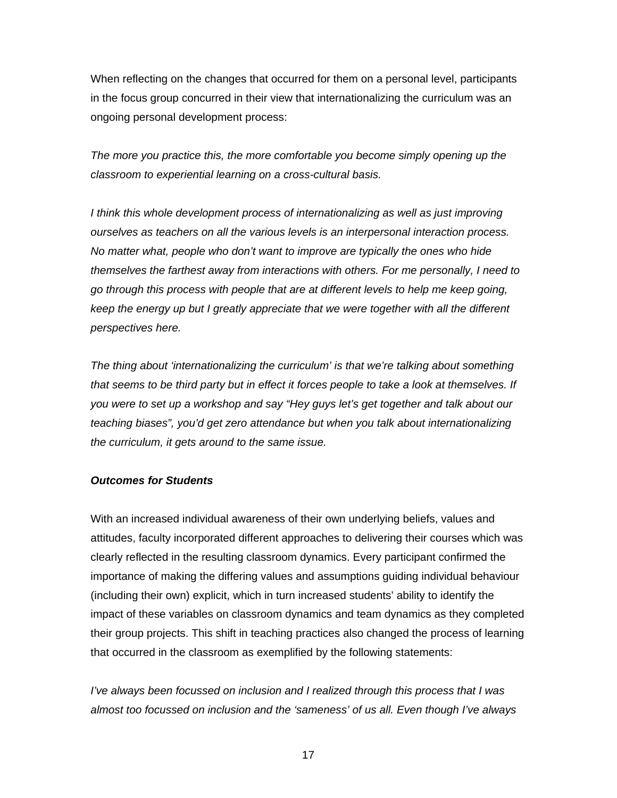When reflecting on the changes that occurred for them on a personal level, participants in the focus group concurred in their view that internationalizing the curriculum was an ongoing personal development process:

*The more you practice this, the more comfortable you become simply opening up the classroom to experiential learning on a cross-cultural basis.* 

*I think this whole development process of internationalizing as well as just improving ourselves as teachers on all the various levels is an interpersonal interaction process. No matter what, people who don't want to improve are typically the ones who hide themselves the farthest away from interactions with others. For me personally, I need to go through this process with people that are at different levels to help me keep going, keep the energy up but I greatly appreciate that we were together with all the different perspectives here.* 

*The thing about 'internationalizing the curriculum' is that we're talking about something that seems to be third party but in effect it forces people to take a look at themselves. If you were to set up a workshop and say "Hey guys let's get together and talk about our teaching biases", you'd get zero attendance but when you talk about internationalizing the curriculum, it gets around to the same issue.* 

### *Outcomes for Students*

With an increased individual awareness of their own underlying beliefs, values and attitudes, faculty incorporated different approaches to delivering their courses which was clearly reflected in the resulting classroom dynamics. Every participant confirmed the importance of making the differing values and assumptions guiding individual behaviour (including their own) explicit, which in turn increased students' ability to identify the impact of these variables on classroom dynamics and team dynamics as they completed their group projects. This shift in teaching practices also changed the process of learning that occurred in the classroom as exemplified by the following statements:

*I've always been focussed on inclusion and I realized through this process that I was almost too focussed on inclusion and the 'sameness' of us all. Even though I've always*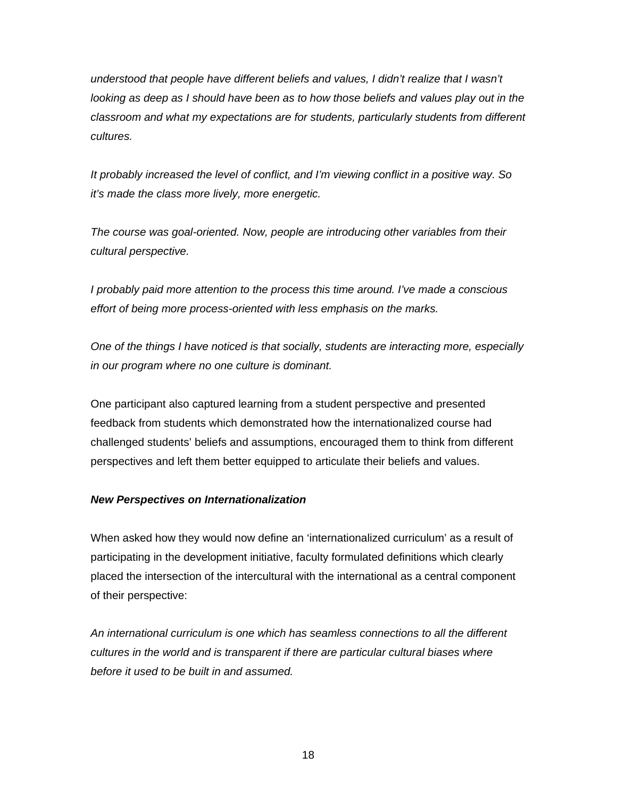*understood that people have different beliefs and values, I didn't realize that I wasn't looking as deep as I should have been as to how those beliefs and values play out in the classroom and what my expectations are for students, particularly students from different cultures.* 

*It probably increased the level of conflict, and I'm viewing conflict in a positive way. So it's made the class more lively, more energetic.* 

*The course was goal-oriented. Now, people are introducing other variables from their cultural perspective.* 

*I probably paid more attention to the process this time around. I've made a conscious effort of being more process-oriented with less emphasis on the marks.* 

*One of the things I have noticed is that socially, students are interacting more, especially in our program where no one culture is dominant.* 

One participant also captured learning from a student perspective and presented feedback from students which demonstrated how the internationalized course had challenged students' beliefs and assumptions, encouraged them to think from different perspectives and left them better equipped to articulate their beliefs and values.

## *New Perspectives on Internationalization*

When asked how they would now define an 'internationalized curriculum' as a result of participating in the development initiative, faculty formulated definitions which clearly placed the intersection of the intercultural with the international as a central component of their perspective:

*An international curriculum is one which has seamless connections to all the different cultures in the world and is transparent if there are particular cultural biases where before it used to be built in and assumed.*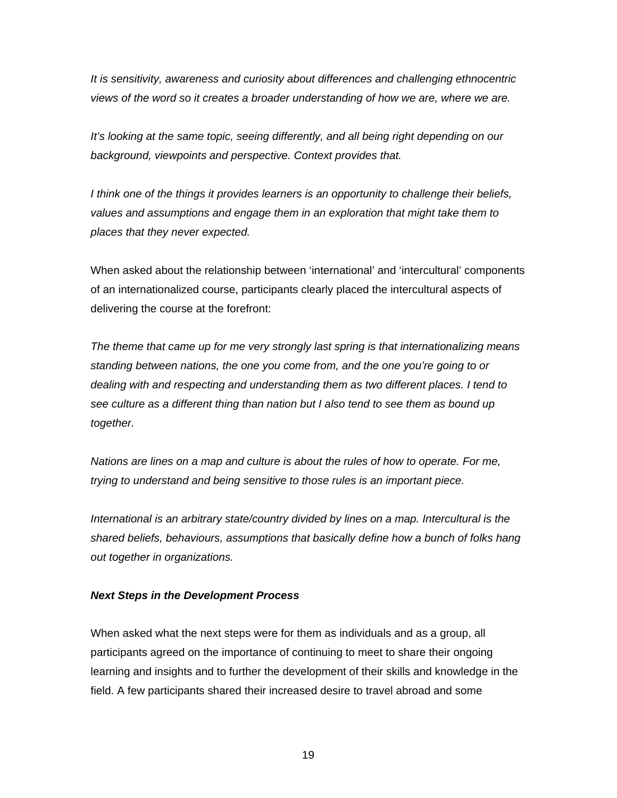*It is sensitivity, awareness and curiosity about differences and challenging ethnocentric views of the word so it creates a broader understanding of how we are, where we are.* 

*It's looking at the same topic, seeing differently, and all being right depending on our background, viewpoints and perspective. Context provides that.* 

*I think one of the things it provides learners is an opportunity to challenge their beliefs, values and assumptions and engage them in an exploration that might take them to places that they never expected.* 

When asked about the relationship between 'international' and 'intercultural' components of an internationalized course, participants clearly placed the intercultural aspects of delivering the course at the forefront:

*The theme that came up for me very strongly last spring is that internationalizing means standing between nations, the one you come from, and the one you're going to or dealing with and respecting and understanding them as two different places. I tend to see culture as a different thing than nation but I also tend to see them as bound up together.* 

*Nations are lines on a map and culture is about the rules of how to operate. For me, trying to understand and being sensitive to those rules is an important piece.* 

*International is an arbitrary state/country divided by lines on a map. Intercultural is the shared beliefs, behaviours, assumptions that basically define how a bunch of folks hang out together in organizations.* 

### *Next Steps in the Development Process*

When asked what the next steps were for them as individuals and as a group, all participants agreed on the importance of continuing to meet to share their ongoing learning and insights and to further the development of their skills and knowledge in the field. A few participants shared their increased desire to travel abroad and some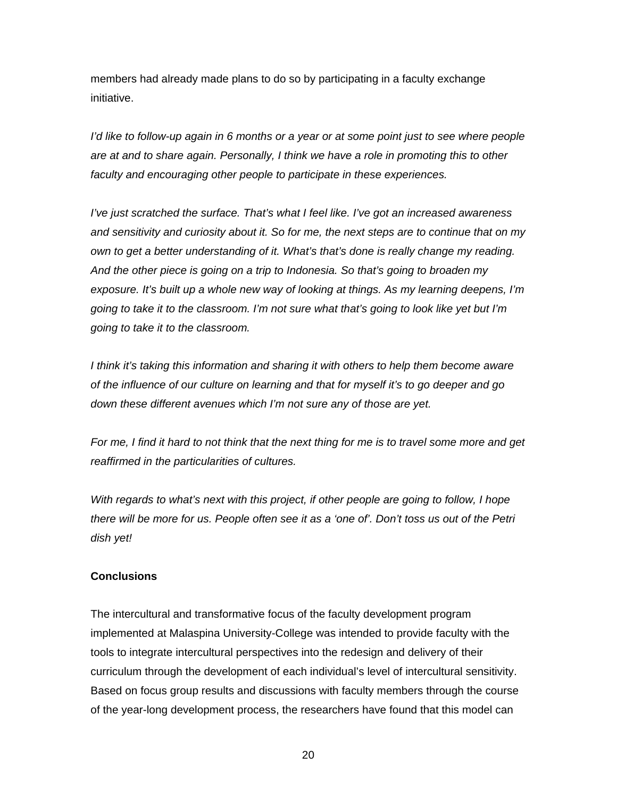members had already made plans to do so by participating in a faculty exchange initiative.

*I'd like to follow-up again in 6 months or a year or at some point just to see where people are at and to share again. Personally, I think we have a role in promoting this to other faculty and encouraging other people to participate in these experiences.* 

*I've just scratched the surface. That's what I feel like. I've got an increased awareness and sensitivity and curiosity about it. So for me, the next steps are to continue that on my own to get a better understanding of it. What's that's done is really change my reading. And the other piece is going on a trip to Indonesia. So that's going to broaden my exposure. It's built up a whole new way of looking at things. As my learning deepens, I'm going to take it to the classroom. I'm not sure what that's going to look like yet but I'm going to take it to the classroom.* 

*I think it's taking this information and sharing it with others to help them become aware of the influence of our culture on learning and that for myself it's to go deeper and go down these different avenues which I'm not sure any of those are yet.* 

*For me, I find it hard to not think that the next thing for me is to travel some more and get reaffirmed in the particularities of cultures.* 

*With regards to what's next with this project, if other people are going to follow, I hope there will be more for us. People often see it as a 'one of'. Don't toss us out of the Petri dish yet!* 

## **Conclusions**

The intercultural and transformative focus of the faculty development program implemented at Malaspina University-College was intended to provide faculty with the tools to integrate intercultural perspectives into the redesign and delivery of their curriculum through the development of each individual's level of intercultural sensitivity. Based on focus group results and discussions with faculty members through the course of the year-long development process, the researchers have found that this model can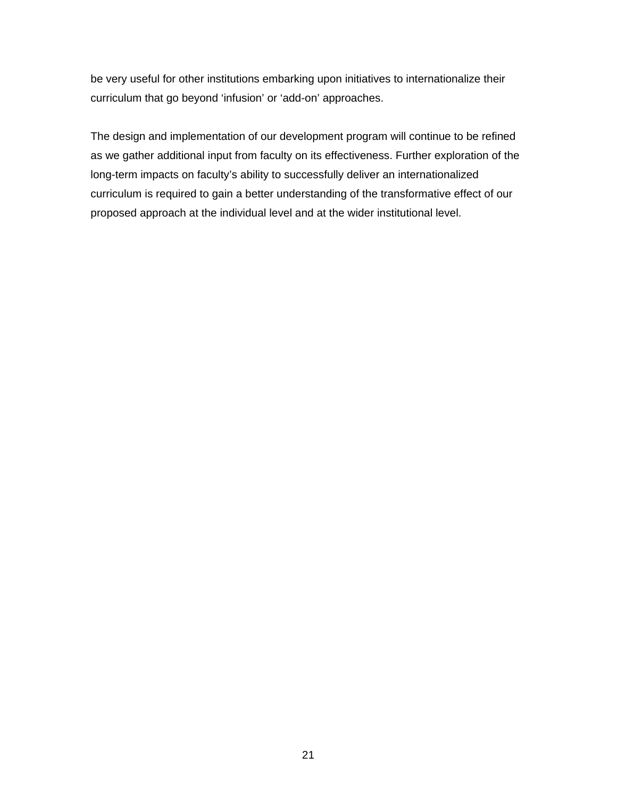be very useful for other institutions embarking upon initiatives to internationalize their curriculum that go beyond 'infusion' or 'add-on' approaches.

The design and implementation of our development program will continue to be refined as we gather additional input from faculty on its effectiveness. Further exploration of the long-term impacts on faculty's ability to successfully deliver an internationalized curriculum is required to gain a better understanding of the transformative effect of our proposed approach at the individual level and at the wider institutional level.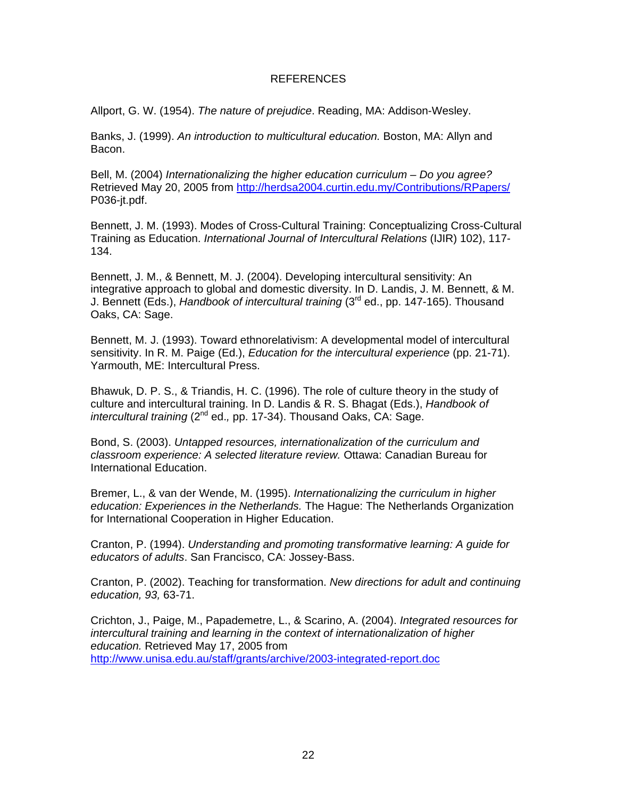#### REFERENCES

Allport, G. W. (1954). *The nature of prejudice*. Reading, MA: Addison-Wesley.

Banks, J. (1999). *An introduction to multicultural education.* Boston, MA: Allyn and Bacon.

Bell, M. (2004) *Internationalizing the higher education curriculum – Do you agree?* Retrieved May 20, 2005 from <http://herdsa2004.curtin.edu.my/Contributions/RPapers/> P036-jt.pdf.

Bennett, J. M. (1993). Modes of Cross-Cultural Training: Conceptualizing Cross-Cultural Training as Education. *International Journal of Intercultural Relations* (IJIR) 102), 117- 134.

Bennett, J. M., & Bennett, M. J. (2004). Developing intercultural sensitivity: An integrative approach to global and domestic diversity. In D. Landis, J. M. Bennett, & M. J. Bennett (Eds.), *Handbook of intercultural training* (3rd ed., pp. 147-165). Thousand Oaks, CA: Sage.

Bennett, M. J. (1993). Toward ethnorelativism: A developmental model of intercultural sensitivity. In R. M. Paige (Ed.), *Education for the intercultural experience* (pp. 21-71). Yarmouth, ME: Intercultural Press.

Bhawuk, D. P. S., & Triandis, H. C. (1996). The role of culture theory in the study of culture and intercultural training. In D. Landis & R. S. Bhagat (Eds.), *Handbook of intercultural training* (2nd ed.*,* pp. 17-34). Thousand Oaks, CA: Sage.

Bond, S. (2003). *Untapped resources, internationalization of the curriculum and classroom experience: A selected literature review.* Ottawa: Canadian Bureau for International Education.

Bremer, L., & van der Wende, M. (1995). *Internationalizing the curriculum in higher education: Experiences in the Netherlands.* The Hague: The Netherlands Organization for International Cooperation in Higher Education.

Cranton, P. (1994). *Understanding and promoting transformative learning: A guide for educators of adults*. San Francisco, CA: Jossey-Bass.

Cranton, P. (2002). Teaching for transformation. *New directions for adult and continuing education, 93,* 63-71.

Crichton, J., Paige, M., Papademetre, L., & Scarino, A. (2004). *Integrated resources for intercultural training and learning in the context of internationalization of higher education.* Retrieved May 17, 2005 from <http://www.unisa.edu.au/staff/grants/archive/2003-integrated-report.doc>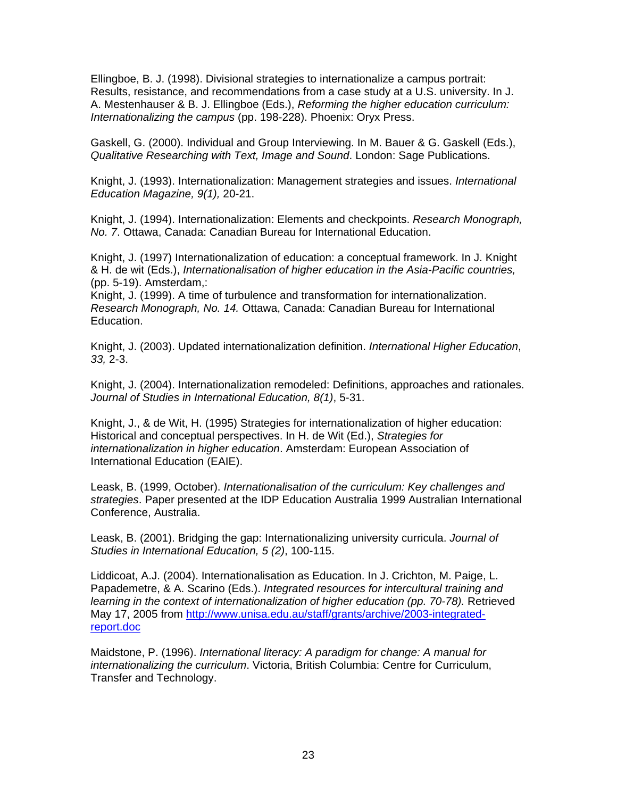Ellingboe, B. J. (1998). Divisional strategies to internationalize a campus portrait: Results, resistance, and recommendations from a case study at a U.S. university. In J. A. Mestenhauser & B. J. Ellingboe (Eds.), *Reforming the higher education curriculum: Internationalizing the campus* (pp. 198-228). Phoenix: Oryx Press.

Gaskell, G. (2000). Individual and Group Interviewing. In M. Bauer & G. Gaskell (Eds.), *Qualitative Researching with Text, Image and Sound*. London: Sage Publications.

Knight, J. (1993). Internationalization: Management strategies and issues. *International Education Magazine, 9(1),* 20-21.

Knight, J. (1994). Internationalization: Elements and checkpoints. *Research Monograph, No. 7*. Ottawa, Canada: Canadian Bureau for International Education.

Knight, J. (1997) Internationalization of education: a conceptual framework. In J. Knight & H. de wit (Eds.), *Internationalisation of higher education in the Asia-Pacific countries,*  (pp. 5-19). Amsterdam,:

Knight, J. (1999). A time of turbulence and transformation for internationalization. *Research Monograph, No. 14.* Ottawa, Canada: Canadian Bureau for International Education.

Knight, J. (2003). Updated internationalization definition. *International Higher Education*, *33,* 2-3.

Knight, J. (2004). Internationalization remodeled: Definitions, approaches and rationales. *Journal of Studies in International Education, 8(1)*, 5-31.

Knight, J., & de Wit, H. (1995) Strategies for internationalization of higher education: Historical and conceptual perspectives. In H. de Wit (Ed.), *Strategies for internationalization in higher education*. Amsterdam: European Association of International Education (EAIE).

Leask, B. (1999, October). *Internationalisation of the curriculum: Key challenges and strategies*. Paper presented at the IDP Education Australia 1999 Australian International Conference, Australia.

Leask, B. (2001). Bridging the gap: Internationalizing university curricula. *Journal of Studies in International Education, 5 (2)*, 100-115.

Liddicoat, A.J. (2004). Internationalisation as Education. In J. Crichton, M. Paige, L. Papademetre, & A. Scarino (Eds.). *Integrated resources for intercultural training and learning in the context of internationalization of higher education (pp. 70-78).* Retrieved May 17, 2005 from [http://www.unisa.edu.au/staff/grants/archive/2003-integrated](http://www.unisa.edu.au/staff/grants/archive/2003-integrated-report.doc)[report.doc](http://www.unisa.edu.au/staff/grants/archive/2003-integrated-report.doc)

Maidstone, P. (1996). *International literacy: A paradigm for change: A manual for internationalizing the curriculum*. Victoria, British Columbia: Centre for Curriculum, Transfer and Technology.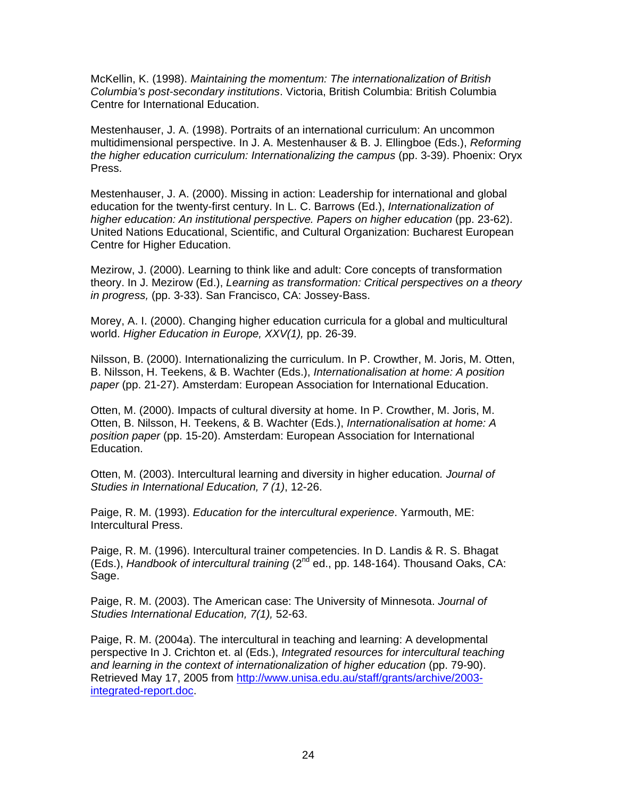McKellin, K. (1998). *Maintaining the momentum: The internationalization of British Columbia's post-secondary institutions*. Victoria, British Columbia: British Columbia Centre for International Education.

Mestenhauser, J. A. (1998). Portraits of an international curriculum: An uncommon multidimensional perspective. In J. A. Mestenhauser & B. J. Ellingboe (Eds.), *Reforming the higher education curriculum: Internationalizing the campus* (pp. 3-39). Phoenix: Oryx Press.

Mestenhauser, J. A. (2000). Missing in action: Leadership for international and global education for the twenty-first century. In L. C. Barrows (Ed.), *Internationalization of higher education: An institutional perspective. Papers on higher education* (pp. 23-62). United Nations Educational, Scientific, and Cultural Organization: Bucharest European Centre for Higher Education.

Mezirow, J. (2000). Learning to think like and adult: Core concepts of transformation theory. In J. Mezirow (Ed.), *Learning as transformation: Critical perspectives on a theory in progress,* (pp. 3-33). San Francisco, CA: Jossey-Bass.

Morey, A. I. (2000). Changing higher education curricula for a global and multicultural world. *Higher Education in Europe, XXV(1),* pp. 26-39.

Nilsson, B. (2000). Internationalizing the curriculum. In P. Crowther, M. Joris, M. Otten, B. Nilsson, H. Teekens, & B. Wachter (Eds.), *Internationalisation at home: A position paper* (pp. 21-27). Amsterdam: European Association for International Education.

Otten, M. (2000). Impacts of cultural diversity at home. In P. Crowther, M. Joris, M. Otten, B. Nilsson, H. Teekens, & B. Wachter (Eds.), *Internationalisation at home: A position paper* (pp. 15-20). Amsterdam: European Association for International Education.

Otten, M. (2003). Intercultural learning and diversity in higher education*. Journal of Studies in International Education, 7 (1)*, 12-26.

Paige, R. M. (1993). *Education for the intercultural experience*. Yarmouth, ME: Intercultural Press.

Paige, R. M. (1996). Intercultural trainer competencies. In D. Landis & R. S. Bhagat (Eds.), *Handbook of intercultural training* (2nd ed., pp. 148-164). Thousand Oaks, CA: Sage.

Paige, R. M. (2003). The American case: The University of Minnesota. *Journal of Studies International Education, 7(1),* 52-63.

Paige, R. M. (2004a). The intercultural in teaching and learning: A developmental perspective In J. Crichton et. al (Eds.), *Integrated resources for intercultural teaching*  and learning in the context of internationalization of higher education (pp. 79-90). Retrieved May 17, 2005 from [http://www.unisa.edu.au/staff/grants/archive/2003](http://www.unisa.edu.au/staff/grants/archive/2003-integrated-report.doc) [integrated-report.doc](http://www.unisa.edu.au/staff/grants/archive/2003-integrated-report.doc).